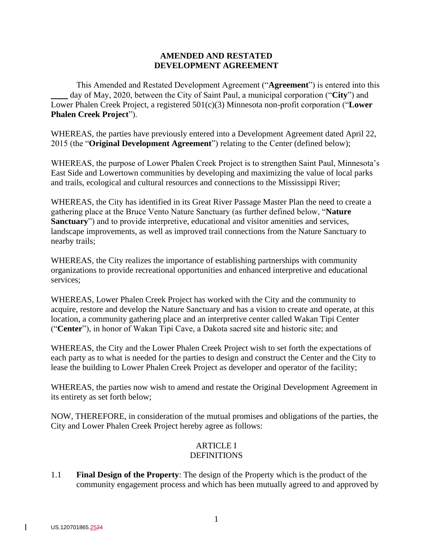## **AMENDED AND RESTATED DEVELOPMENT AGREEMENT**

This Amended and Restated Development Agreement ("**Agreement**") is entered into this day of May, 2020, between the City of Saint Paul, a municipal corporation ("City") and Lower Phalen Creek Project, a registered 501(c)(3) Minnesota non-profit corporation ("**Lower Phalen Creek Project**").

WHEREAS, the parties have previously entered into a Development Agreement dated April 22, 2015 (the "**Original Development Agreement**") relating to the Center (defined below);

WHEREAS, the purpose of Lower Phalen Creek Project is to strengthen Saint Paul, Minnesota's East Side and Lowertown communities by developing and maximizing the value of local parks and trails, ecological and cultural resources and connections to the Mississippi River;

WHEREAS, the City has identified in its Great River Passage Master Plan the need to create a gathering place at the Bruce Vento Nature Sanctuary (as further defined below, "**Nature Sanctuary**") and to provide interpretive, educational and visitor amenities and services, landscape improvements, as well as improved trail connections from the Nature Sanctuary to nearby trails;

WHEREAS, the City realizes the importance of establishing partnerships with community organizations to provide recreational opportunities and enhanced interpretive and educational services;

WHEREAS, Lower Phalen Creek Project has worked with the City and the community to acquire, restore and develop the Nature Sanctuary and has a vision to create and operate, at this location, a community gathering place and an interpretive center called Wakan Tipi Center ("**Center**"), in honor of Wakan Tipi Cave, a Dakota sacred site and historic site; and

WHEREAS, the City and the Lower Phalen Creek Project wish to set forth the expectations of each party as to what is needed for the parties to design and construct the Center and the City to lease the building to Lower Phalen Creek Project as developer and operator of the facility;

WHEREAS, the parties now wish to amend and restate the Original Development Agreement in its entirety as set forth below;

NOW, THEREFORE, in consideration of the mutual promises and obligations of the parties, the City and Lower Phalen Creek Project hereby agree as follows:

# ARTICLE I **DEFINITIONS**

1.1 **Final Design of the Property**: The design of the Property which is the product of the community engagement process and which has been mutually agreed to and approved by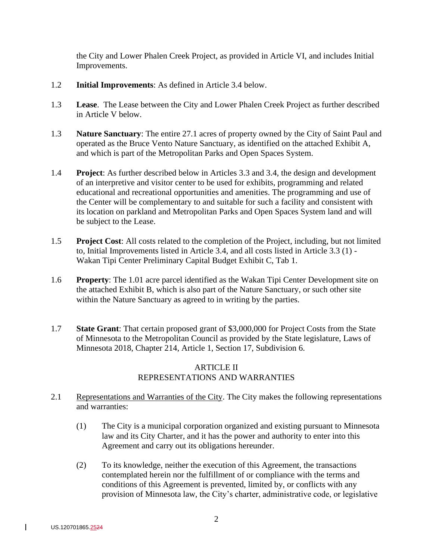the City and Lower Phalen Creek Project, as provided in Article VI, and includes Initial Improvements.

- 1.2 **Initial Improvements**: As defined in Article 3.4 below.
- 1.3 **Lease**. The Lease between the City and Lower Phalen Creek Project as further described in Article V below.
- 1.3 **Nature Sanctuary**: The entire 27.1 acres of property owned by the City of Saint Paul and operated as the Bruce Vento Nature Sanctuary, as identified on the attached Exhibit A, and which is part of the Metropolitan Parks and Open Spaces System.
- 1.4 **Project**: As further described below in Articles 3.3 and 3.4, the design and development of an interpretive and visitor center to be used for exhibits, programming and related educational and recreational opportunities and amenities. The programming and use of the Center will be complementary to and suitable for such a facility and consistent with its location on parkland and Metropolitan Parks and Open Spaces System land and will be subject to the Lease.
- 1.5 **Project Cost**: All costs related to the completion of the Project, including, but not limited to, Initial Improvements listed in Article 3.4, and all costs listed in Article 3.3 (1) - Wakan Tipi Center Preliminary Capital Budget Exhibit C, Tab 1.
- 1.6 **Property**: The 1.01 acre parcel identified as the Wakan Tipi Center Development site on the attached Exhibit B, which is also part of the Nature Sanctuary, or such other site within the Nature Sanctuary as agreed to in writing by the parties.
- 1.7 **State Grant**: That certain proposed grant of \$3,000,000 for Project Costs from the State of Minnesota to the Metropolitan Council as provided by the State legislature, Laws of Minnesota 2018, Chapter 214, Article 1, Section 17, Subdivision 6.

# ARTICLE II REPRESENTATIONS AND WARRANTIES

- 2.1 Representations and Warranties of the City. The City makes the following representations and warranties:
	- (1) The City is a municipal corporation organized and existing pursuant to Minnesota law and its City Charter, and it has the power and authority to enter into this Agreement and carry out its obligations hereunder.
	- (2) To its knowledge, neither the execution of this Agreement, the transactions contemplated herein nor the fulfillment of or compliance with the terms and conditions of this Agreement is prevented, limited by, or conflicts with any provision of Minnesota law, the City's charter, administrative code, or legislative

 $\mathbf{I}$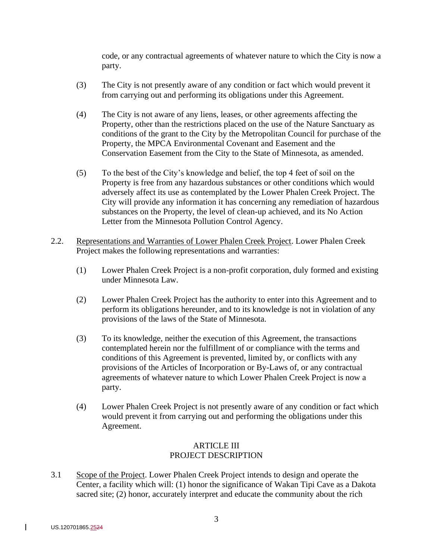code, or any contractual agreements of whatever nature to which the City is now a party.

- (3) The City is not presently aware of any condition or fact which would prevent it from carrying out and performing its obligations under this Agreement.
- (4) The City is not aware of any liens, leases, or other agreements affecting the Property, other than the restrictions placed on the use of the Nature Sanctuary as conditions of the grant to the City by the Metropolitan Council for purchase of the Property, the MPCA Environmental Covenant and Easement and the Conservation Easement from the City to the State of Minnesota, as amended.
- (5) To the best of the City's knowledge and belief, the top 4 feet of soil on the Property is free from any hazardous substances or other conditions which would adversely affect its use as contemplated by the Lower Phalen Creek Project. The City will provide any information it has concerning any remediation of hazardous substances on the Property, the level of clean-up achieved, and its No Action Letter from the Minnesota Pollution Control Agency.
- 2.2. Representations and Warranties of Lower Phalen Creek Project. Lower Phalen Creek Project makes the following representations and warranties:
	- (1) Lower Phalen Creek Project is a non-profit corporation, duly formed and existing under Minnesota Law.
	- (2) Lower Phalen Creek Project has the authority to enter into this Agreement and to perform its obligations hereunder, and to its knowledge is not in violation of any provisions of the laws of the State of Minnesota.
	- (3) To its knowledge, neither the execution of this Agreement, the transactions contemplated herein nor the fulfillment of or compliance with the terms and conditions of this Agreement is prevented, limited by, or conflicts with any provisions of the Articles of Incorporation or By-Laws of, or any contractual agreements of whatever nature to which Lower Phalen Creek Project is now a party.
	- (4) Lower Phalen Creek Project is not presently aware of any condition or fact which would prevent it from carrying out and performing the obligations under this Agreement.

# ARTICLE III PROJECT DESCRIPTION

3.1 Scope of the Project. Lower Phalen Creek Project intends to design and operate the Center, a facility which will: (1) honor the significance of Wakan Tipi Cave as a Dakota sacred site; (2) honor, accurately interpret and educate the community about the rich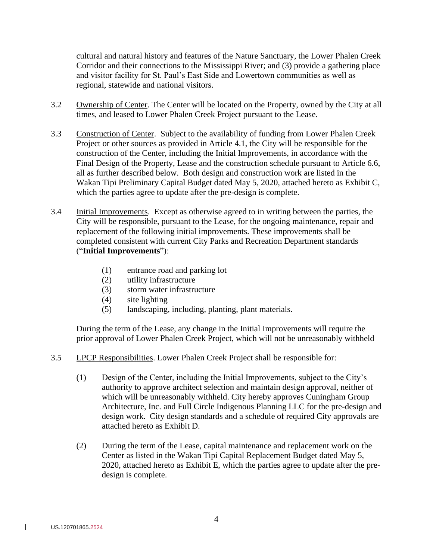cultural and natural history and features of the Nature Sanctuary, the Lower Phalen Creek Corridor and their connections to the Mississippi River; and (3) provide a gathering place and visitor facility for St. Paul's East Side and Lowertown communities as well as regional, statewide and national visitors.

- 3.2 Ownership of Center. The Center will be located on the Property, owned by the City at all times, and leased to Lower Phalen Creek Project pursuant to the Lease.
- 3.3 Construction of Center. Subject to the availability of funding from Lower Phalen Creek Project or other sources as provided in Article 4.1, the City will be responsible for the construction of the Center, including the Initial Improvements, in accordance with the Final Design of the Property, Lease and the construction schedule pursuant to Article 6.6, all as further described below. Both design and construction work are listed in the Wakan Tipi Preliminary Capital Budget dated May 5, 2020, attached hereto as Exhibit C, which the parties agree to update after the pre-design is complete.
- 3.4 Initial Improvements. Except as otherwise agreed to in writing between the parties, the City will be responsible, pursuant to the Lease, for the ongoing maintenance, repair and replacement of the following initial improvements. These improvements shall be completed consistent with current City Parks and Recreation Department standards ("**Initial Improvements**"):
	- (1) entrance road and parking lot
	- (2) utility infrastructure
	- (3) storm water infrastructure
	- (4) site lighting
	- (5) landscaping, including, planting, plant materials.

During the term of the Lease, any change in the Initial Improvements will require the prior approval of Lower Phalen Creek Project, which will not be unreasonably withheld

- 3.5 LPCP Responsibilities. Lower Phalen Creek Project shall be responsible for:
	- (1) Design of the Center, including the Initial Improvements, subject to the City's authority to approve architect selection and maintain design approval, neither of which will be unreasonably withheld. City hereby approves Cuningham Group Architecture, Inc. and Full Circle Indigenous Planning LLC for the pre-design and design work. City design standards and a schedule of required City approvals are attached hereto as Exhibit D.
	- (2) During the term of the Lease, capital maintenance and replacement work on the Center as listed in the Wakan Tipi Capital Replacement Budget dated May 5, 2020, attached hereto as Exhibit E, which the parties agree to update after the predesign is complete.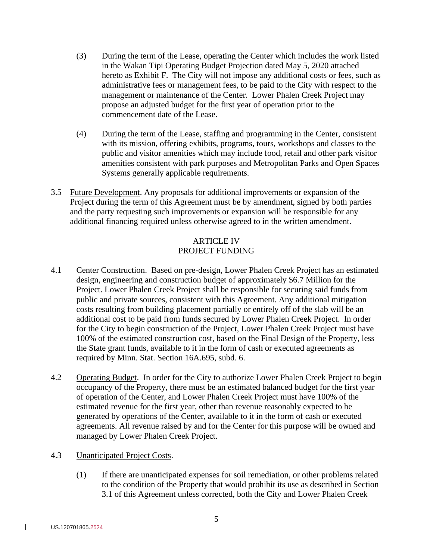- (3) During the term of the Lease, operating the Center which includes the work listed in the Wakan Tipi Operating Budget Projection dated May 5, 2020 attached hereto as Exhibit F. The City will not impose any additional costs or fees, such as administrative fees or management fees, to be paid to the City with respect to the management or maintenance of the Center. Lower Phalen Creek Project may propose an adjusted budget for the first year of operation prior to the commencement date of the Lease.
- (4) During the term of the Lease, staffing and programming in the Center, consistent with its mission, offering exhibits, programs, tours, workshops and classes to the public and visitor amenities which may include food, retail and other park visitor amenities consistent with park purposes and Metropolitan Parks and Open Spaces Systems generally applicable requirements.
- 3.5 Future Development. Any proposals for additional improvements or expansion of the Project during the term of this Agreement must be by amendment, signed by both parties and the party requesting such improvements or expansion will be responsible for any additional financing required unless otherwise agreed to in the written amendment.

# ARTICLE IV PROJECT FUNDING

- 4.1 Center Construction. Based on pre-design, Lower Phalen Creek Project has an estimated design, engineering and construction budget of approximately \$6.7 Million for the Project. Lower Phalen Creek Project shall be responsible for securing said funds from public and private sources, consistent with this Agreement. Any additional mitigation costs resulting from building placement partially or entirely off of the slab will be an additional cost to be paid from funds secured by Lower Phalen Creek Project. In order for the City to begin construction of the Project, Lower Phalen Creek Project must have 100% of the estimated construction cost, based on the Final Design of the Property, less the State grant funds, available to it in the form of cash or executed agreements as required by Minn. Stat. Section 16A.695, subd. 6.
- 4.2 Operating Budget. In order for the City to authorize Lower Phalen Creek Project to begin occupancy of the Property, there must be an estimated balanced budget for the first year of operation of the Center, and Lower Phalen Creek Project must have 100% of the estimated revenue for the first year, other than revenue reasonably expected to be generated by operations of the Center, available to it in the form of cash or executed agreements. All revenue raised by and for the Center for this purpose will be owned and managed by Lower Phalen Creek Project.
- 4.3 Unanticipated Project Costs.
	- (1) If there are unanticipated expenses for soil remediation, or other problems related to the condition of the Property that would prohibit its use as described in Section 3.1 of this Agreement unless corrected, both the City and Lower Phalen Creek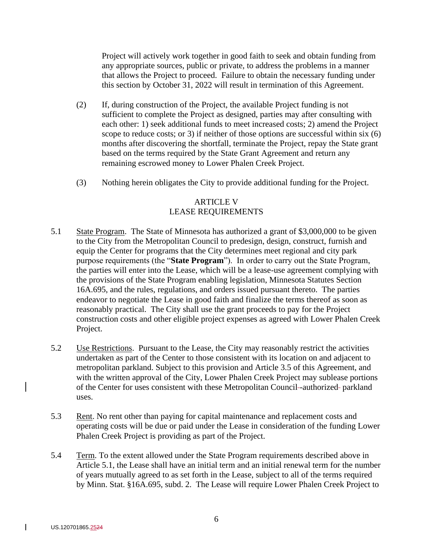Project will actively work together in good faith to seek and obtain funding from any appropriate sources, public or private, to address the problems in a manner that allows the Project to proceed. Failure to obtain the necessary funding under this section by October 31, 2022 will result in termination of this Agreement.

- (2) If, during construction of the Project, the available Project funding is not sufficient to complete the Project as designed, parties may after consulting with each other: 1) seek additional funds to meet increased costs; 2) amend the Project scope to reduce costs; or 3) if neither of those options are successful within six (6) months after discovering the shortfall, terminate the Project, repay the State grant based on the terms required by the State Grant Agreement and return any remaining escrowed money to Lower Phalen Creek Project.
- (3) Nothing herein obligates the City to provide additional funding for the Project.

# ARTICLE V LEASE REQUIREMENTS

- 5.1 State Program. The State of Minnesota has authorized a grant of \$3,000,000 to be given to the City from the Metropolitan Council to predesign, design, construct, furnish and equip the Center for programs that the City determines meet regional and city park purpose requirements (the "**State Program**"). In order to carry out the State Program, the parties will enter into the Lease, which will be a lease-use agreement complying with the provisions of the State Program enabling legislation, Minnesota Statutes Section 16A.695, and the rules, regulations, and orders issued pursuant thereto. The parties endeavor to negotiate the Lease in good faith and finalize the terms thereof as soon as reasonably practical. The City shall use the grant proceeds to pay for the Project construction costs and other eligible project expenses as agreed with Lower Phalen Creek Project.
- 5.2 Use Restrictions. Pursuant to the Lease, the City may reasonably restrict the activities undertaken as part of the Center to those consistent with its location on and adjacent to metropolitan parkland. Subject to this provision and Article 3.5 of this Agreement, and with the written approval of the City, Lower Phalen Creek Project may sublease portions of the Center for uses consistent with these Metropolitan Council -authorized parkland uses.
- 5.3 Rent. No rent other than paying for capital maintenance and replacement costs and operating costs will be due or paid under the Lease in consideration of the funding Lower Phalen Creek Project is providing as part of the Project.
- 5.4 Term. To the extent allowed under the State Program requirements described above in Article 5.1, the Lease shall have an initial term and an initial renewal term for the number of years mutually agreed to as set forth in the Lease, subject to all of the terms required by Minn. Stat. §16A.695, subd. 2. The Lease will require Lower Phalen Creek Project to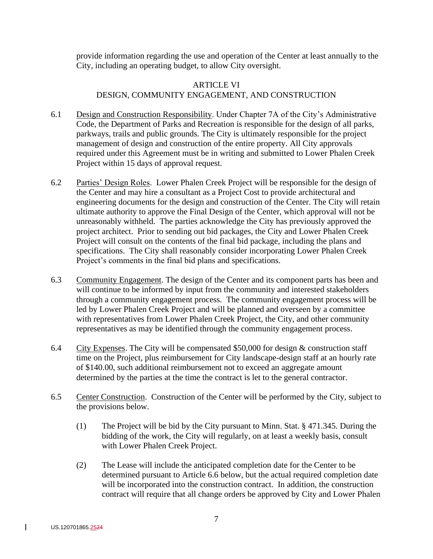provide information regarding the use and operation of the Center at least annually to the City, including an operating budget, to allow City oversight.

## ARTICLE VI DESIGN, COMMUNITY ENGAGEMENT, AND CONSTRUCTION

- 6.1 Design and Construction Responsibility. Under Chapter 7A of the City's Administrative Code, the Department of Parks and Recreation is responsible for the design of all parks, parkways, trails and public grounds. The City is ultimately responsible for the project management of design and construction of the entire property. All City approvals required under this Agreement must be in writing and submitted to Lower Phalen Creek Project within 15 days of approval request.
- 6.2 Parties' Design Roles. Lower Phalen Creek Project will be responsible for the design of the Center and may hire a consultant as a Project Cost to provide architectural and engineering documents for the design and construction of the Center. The City will retain ultimate authority to approve the Final Design of the Center, which approval will not be unreasonably withheld. The parties acknowledge the City has previously approved the project architect. Prior to sending out bid packages, the City and Lower Phalen Creek Project will consult on the contents of the final bid package, including the plans and specifications. The City shall reasonably consider incorporating Lower Phalen Creek Project's comments in the final bid plans and specifications.
- 6.3 Community Engagement. The design of the Center and its component parts has been and will continue to be informed by input from the community and interested stakeholders through a community engagement process. The community engagement process will be led by Lower Phalen Creek Project and will be planned and overseen by a committee with representatives from Lower Phalen Creek Project, the City, and other community representatives as may be identified through the community engagement process.
- 6.4 City Expenses. The City will be compensated \$50,000 for design  $\&$  construction staff time on the Project, plus reimbursement for City landscape-design staff at an hourly rate of \$140.00, such additional reimbursement not to exceed an aggregate amount determined by the parties at the time the contract is let to the general contractor.
- 6.5 Center Construction. Construction of the Center will be performed by the City, subject to the provisions below.
	- (1) The Project will be bid by the City pursuant to Minn. Stat. § 471.345. During the bidding of the work, the City will regularly, on at least a weekly basis, consult with Lower Phalen Creek Project.
	- (2) The Lease will include the anticipated completion date for the Center to be determined pursuant to Article 6.6 below, but the actual required completion date will be incorporated into the construction contract. In addition, the construction contract will require that all change orders be approved by City and Lower Phalen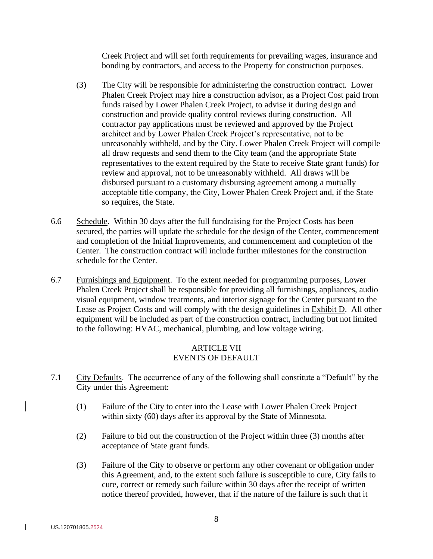Creek Project and will set forth requirements for prevailing wages, insurance and bonding by contractors, and access to the Property for construction purposes.

- (3) The City will be responsible for administering the construction contract. Lower Phalen Creek Project may hire a construction advisor, as a Project Cost paid from funds raised by Lower Phalen Creek Project, to advise it during design and construction and provide quality control reviews during construction. All contractor pay applications must be reviewed and approved by the Project architect and by Lower Phalen Creek Project's representative, not to be unreasonably withheld, and by the City. Lower Phalen Creek Project will compile all draw requests and send them to the City team (and the appropriate State representatives to the extent required by the State to receive State grant funds) for review and approval, not to be unreasonably withheld. All draws will be disbursed pursuant to a customary disbursing agreement among a mutually acceptable title company, the City, Lower Phalen Creek Project and, if the State so requires, the State.
- 6.6 Schedule. Within 30 days after the full fundraising for the Project Costs has been secured, the parties will update the schedule for the design of the Center, commencement and completion of the Initial Improvements, and commencement and completion of the Center. The construction contract will include further milestones for the construction schedule for the Center.
- 6.7 Furnishings and Equipment. To the extent needed for programming purposes, Lower Phalen Creek Project shall be responsible for providing all furnishings, appliances, audio visual equipment, window treatments, and interior signage for the Center pursuant to the Lease as Project Costs and will comply with the design guidelines in Exhibit D. All other equipment will be included as part of the construction contract, including but not limited to the following: HVAC, mechanical, plumbing, and low voltage wiring.

### ARTICLE VII EVENTS OF DEFAULT

- 7.1 City Defaults. The occurrence of any of the following shall constitute a "Default" by the City under this Agreement:
	- (1) Failure of the City to enter into the Lease with Lower Phalen Creek Project within sixty (60) days after its approval by the State of Minnesota.
	- (2) Failure to bid out the construction of the Project within three (3) months after acceptance of State grant funds.
	- (3) Failure of the City to observe or perform any other covenant or obligation under this Agreement, and, to the extent such failure is susceptible to cure, City fails to cure, correct or remedy such failure within 30 days after the receipt of written notice thereof provided, however, that if the nature of the failure is such that it

 $\mathbf{I}$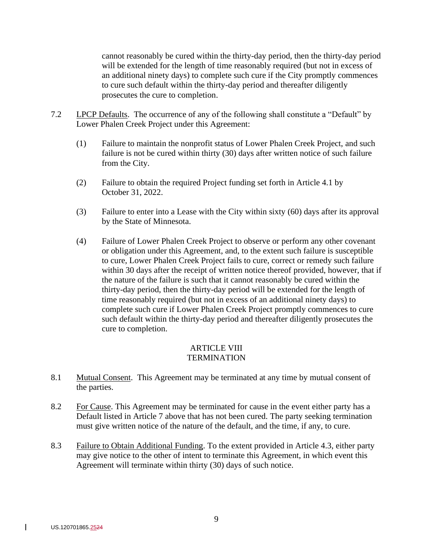cannot reasonably be cured within the thirty-day period, then the thirty-day period will be extended for the length of time reasonably required (but not in excess of an additional ninety days) to complete such cure if the City promptly commences to cure such default within the thirty-day period and thereafter diligently prosecutes the cure to completion.

- 7.2 LPCP Defaults. The occurrence of any of the following shall constitute a "Default" by Lower Phalen Creek Project under this Agreement:
	- (1) Failure to maintain the nonprofit status of Lower Phalen Creek Project, and such failure is not be cured within thirty (30) days after written notice of such failure from the City.
	- (2) Failure to obtain the required Project funding set forth in Article 4.1 by October 31, 2022.
	- (3) Failure to enter into a Lease with the City within sixty (60) days after its approval by the State of Minnesota.
	- (4) Failure of Lower Phalen Creek Project to observe or perform any other covenant or obligation under this Agreement, and, to the extent such failure is susceptible to cure, Lower Phalen Creek Project fails to cure, correct or remedy such failure within 30 days after the receipt of written notice thereof provided, however, that if the nature of the failure is such that it cannot reasonably be cured within the thirty-day period, then the thirty-day period will be extended for the length of time reasonably required (but not in excess of an additional ninety days) to complete such cure if Lower Phalen Creek Project promptly commences to cure such default within the thirty-day period and thereafter diligently prosecutes the cure to completion.

#### ARTICLE VIII **TERMINATION**

- 8.1 Mutual Consent. This Agreement may be terminated at any time by mutual consent of the parties.
- 8.2 For Cause. This Agreement may be terminated for cause in the event either party has a Default listed in Article 7 above that has not been cured. The party seeking termination must give written notice of the nature of the default, and the time, if any, to cure.
- 8.3 Failure to Obtain Additional Funding. To the extent provided in Article 4.3, either party may give notice to the other of intent to terminate this Agreement, in which event this Agreement will terminate within thirty (30) days of such notice.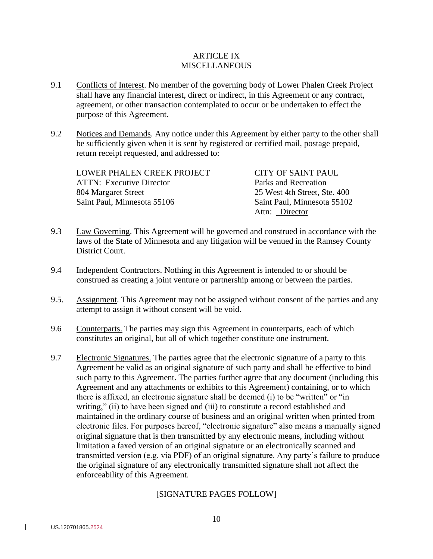#### ARTICLE IX **MISCELLANEOUS**

- 9.1 Conflicts of Interest. No member of the governing body of Lower Phalen Creek Project shall have any financial interest, direct or indirect, in this Agreement or any contract, agreement, or other transaction contemplated to occur or be undertaken to effect the purpose of this Agreement.
- 9.2 Notices and Demands. Any notice under this Agreement by either party to the other shall be sufficiently given when it is sent by registered or certified mail, postage prepaid, return receipt requested, and addressed to:

| LOWER PHALEN CREEK PROJECT      | CITY OF SAINT PAUL           |
|---------------------------------|------------------------------|
| <b>ATTN: Executive Director</b> | Parks and Recreation         |
| 804 Margaret Street             | 25 West 4th Street, Ste. 400 |
| Saint Paul, Minnesota 55106     | Saint Paul, Minnesota 55102  |
|                                 | Attn: Director               |

- 9.3 Law Governing. This Agreement will be governed and construed in accordance with the laws of the State of Minnesota and any litigation will be venued in the Ramsey County District Court.
- 9.4 Independent Contractors. Nothing in this Agreement is intended to or should be construed as creating a joint venture or partnership among or between the parties.
- 9.5. Assignment. This Agreement may not be assigned without consent of the parties and any attempt to assign it without consent will be void.
- 9.6 Counterparts. The parties may sign this Agreement in counterparts, each of which constitutes an original, but all of which together constitute one instrument.
- 9.7 Electronic Signatures. The parties agree that the electronic signature of a party to this Agreement be valid as an original signature of such party and shall be effective to bind such party to this Agreement. The parties further agree that any document (including this Agreement and any attachments or exhibits to this Agreement) containing, or to which there is affixed, an electronic signature shall be deemed (i) to be "written" or "in writing," (ii) to have been signed and (iii) to constitute a record established and maintained in the ordinary course of business and an original written when printed from electronic files. For purposes hereof, "electronic signature" also means a manually signed original signature that is then transmitted by any electronic means, including without limitation a faxed version of an original signature or an electronically scanned and transmitted version (e.g. via PDF) of an original signature. Any party's failure to produce the original signature of any electronically transmitted signature shall not affect the enforceability of this Agreement.

## [SIGNATURE PAGES FOLLOW]